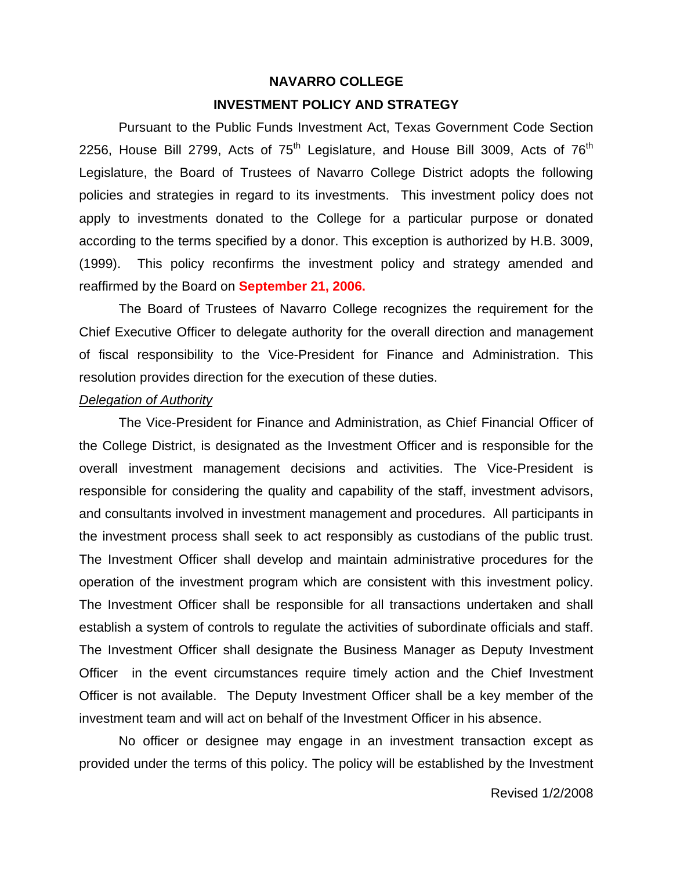## **NAVARRO COLLEGE INVESTMENT POLICY AND STRATEGY**

Pursuant to the Public Funds Investment Act, Texas Government Code Section 2256, House Bill 2799, Acts of  $75<sup>th</sup>$  Legislature, and House Bill 3009, Acts of  $76<sup>th</sup>$ Legislature, the Board of Trustees of Navarro College District adopts the following policies and strategies in regard to its investments. This investment policy does not apply to investments donated to the College for a particular purpose or donated according to the terms specified by a donor. This exception is authorized by H.B. 3009, (1999). This policy reconfirms the investment policy and strategy amended and reaffirmed by the Board on **September 21, 2006.**

The Board of Trustees of Navarro College recognizes the requirement for the Chief Executive Officer to delegate authority for the overall direction and management of fiscal responsibility to the Vice-President for Finance and Administration. This resolution provides direction for the execution of these duties.

#### *Delegation of Authority*

The Vice-President for Finance and Administration, as Chief Financial Officer of the College District, is designated as the Investment Officer and is responsible for the overall investment management decisions and activities. The Vice-President is responsible for considering the quality and capability of the staff, investment advisors, and consultants involved in investment management and procedures. All participants in the investment process shall seek to act responsibly as custodians of the public trust. The Investment Officer shall develop and maintain administrative procedures for the operation of the investment program which are consistent with this investment policy. The Investment Officer shall be responsible for all transactions undertaken and shall establish a system of controls to regulate the activities of subordinate officials and staff. The Investment Officer shall designate the Business Manager as Deputy Investment Officer in the event circumstances require timely action and the Chief Investment Officer is not available. The Deputy Investment Officer shall be a key member of the investment team and will act on behalf of the Investment Officer in his absence.

No officer or designee may engage in an investment transaction except as provided under the terms of this policy. The policy will be established by the Investment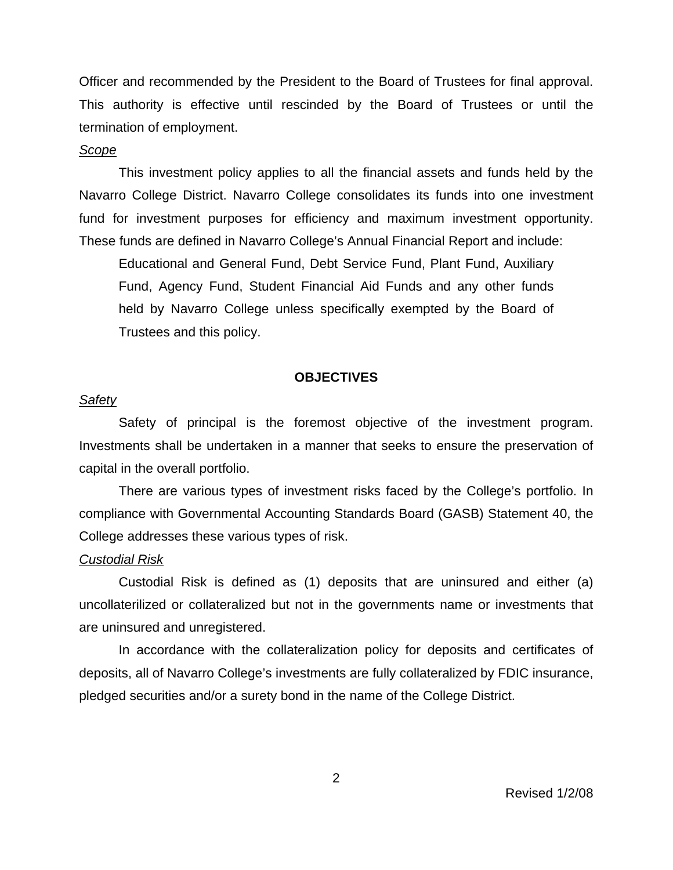Officer and recommended by the President to the Board of Trustees for final approval. This authority is effective until rescinded by the Board of Trustees or until the termination of employment.

### *Scope*

This investment policy applies to all the financial assets and funds held by the Navarro College District. Navarro College consolidates its funds into one investment fund for investment purposes for efficiency and maximum investment opportunity. These funds are defined in Navarro College's Annual Financial Report and include:

Educational and General Fund, Debt Service Fund, Plant Fund, Auxiliary Fund, Agency Fund, Student Financial Aid Funds and any other funds held by Navarro College unless specifically exempted by the Board of Trustees and this policy.

#### **OBJECTIVES**

#### *Safety*

Safety of principal is the foremost objective of the investment program. Investments shall be undertaken in a manner that seeks to ensure the preservation of capital in the overall portfolio.

There are various types of investment risks faced by the College's portfolio. In compliance with Governmental Accounting Standards Board (GASB) Statement 40, the College addresses these various types of risk.

#### *Custodial Risk*

Custodial Risk is defined as (1) deposits that are uninsured and either (a) uncollaterilized or collateralized but not in the governments name or investments that are uninsured and unregistered.

In accordance with the collateralization policy for deposits and certificates of deposits, all of Navarro College's investments are fully collateralized by FDIC insurance, pledged securities and/or a surety bond in the name of the College District.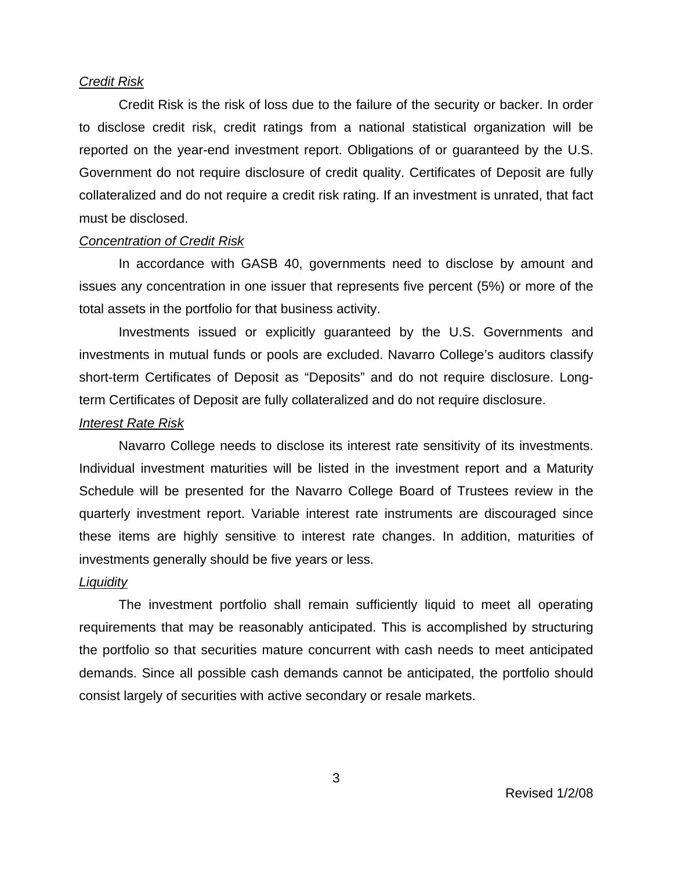#### *Credit Risk*

Credit Risk is the risk of loss due to the failure of the security or backer. In order to disclose credit risk, credit ratings from a national statistical organization will be reported on the year-end investment report. Obligations of or guaranteed by the U.S. Government do not require disclosure of credit quality. Certificates of Deposit are fully collateralized and do not require a credit risk rating. If an investment is unrated, that fact must be disclosed.

#### *Concentration of Credit Risk*

In accordance with GASB 40, governments need to disclose by amount and issues any concentration in one issuer that represents five percent (5%) or more of the total assets in the portfolio for that business activity.

Investments issued or explicitly guaranteed by the U.S. Governments and investments in mutual funds or pools are excluded. Navarro College's auditors classify short-term Certificates of Deposit as "Deposits" and do not require disclosure. Longterm Certificates of Deposit are fully collateralized and do not require disclosure.

#### *Interest Rate Risk*

Navarro College needs to disclose its interest rate sensitivity of its investments. Individual investment maturities will be listed in the investment report and a Maturity Schedule will be presented for the Navarro College Board of Trustees review in the quarterly investment report. Variable interest rate instruments are discouraged since these items are highly sensitive to interest rate changes. In addition, maturities of investments generally should be five years or less.

#### *Liquidity*

The investment portfolio shall remain sufficiently liquid to meet all operating requirements that may be reasonably anticipated. This is accomplished by structuring the portfolio so that securities mature concurrent with cash needs to meet anticipated demands. Since all possible cash demands cannot be anticipated, the portfolio should consist largely of securities with active secondary or resale markets.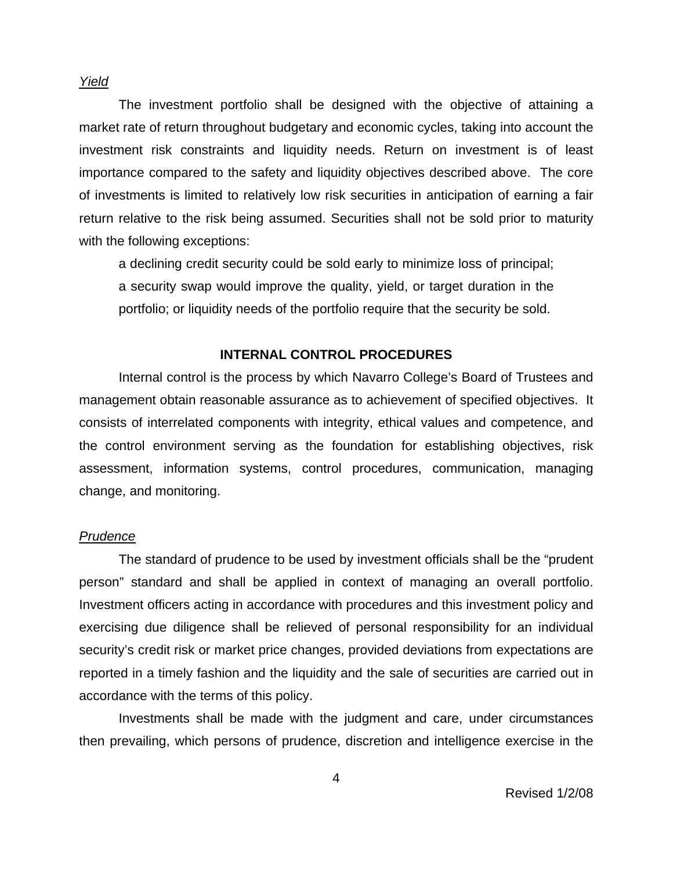*Yield*

The investment portfolio shall be designed with the objective of attaining a market rate of return throughout budgetary and economic cycles, taking into account the investment risk constraints and liquidity needs. Return on investment is of least importance compared to the safety and liquidity objectives described above. The core of investments is limited to relatively low risk securities in anticipation of earning a fair return relative to the risk being assumed. Securities shall not be sold prior to maturity with the following exceptions:

a declining credit security could be sold early to minimize loss of principal; a security swap would improve the quality, yield, or target duration in the portfolio; or liquidity needs of the portfolio require that the security be sold.

#### **INTERNAL CONTROL PROCEDURES**

Internal control is the process by which Navarro College's Board of Trustees and management obtain reasonable assurance as to achievement of specified objectives. It consists of interrelated components with integrity, ethical values and competence, and the control environment serving as the foundation for establishing objectives, risk assessment, information systems, control procedures, communication, managing change, and monitoring.

#### *Prudence*

The standard of prudence to be used by investment officials shall be the "prudent person" standard and shall be applied in context of managing an overall portfolio. Investment officers acting in accordance with procedures and this investment policy and exercising due diligence shall be relieved of personal responsibility for an individual security's credit risk or market price changes, provided deviations from expectations are reported in a timely fashion and the liquidity and the sale of securities are carried out in accordance with the terms of this policy.

Investments shall be made with the judgment and care, under circumstances then prevailing, which persons of prudence, discretion and intelligence exercise in the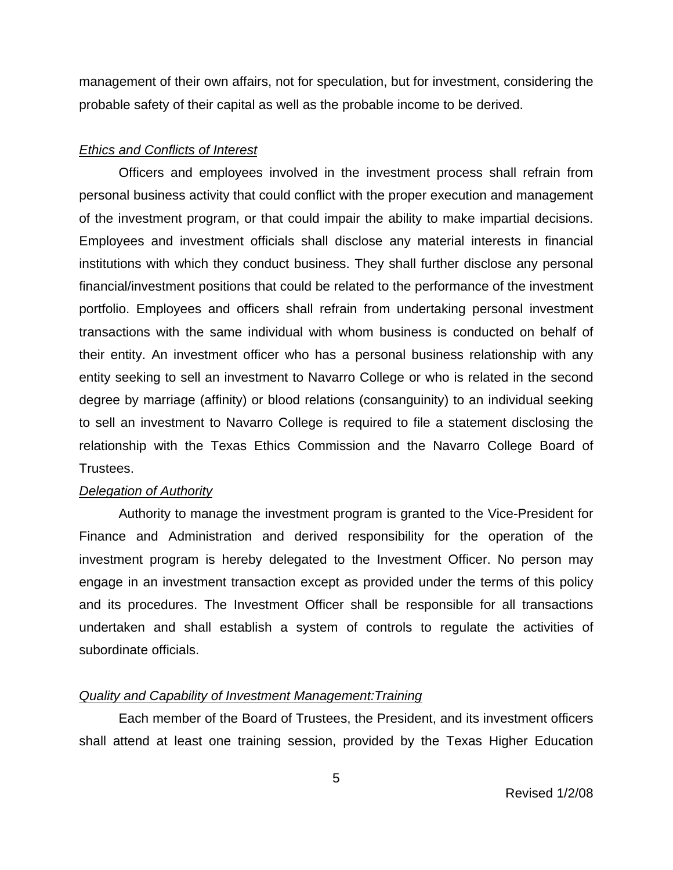management of their own affairs, not for speculation, but for investment, considering the probable safety of their capital as well as the probable income to be derived.

## *Ethics and Conflicts of Interest*

Officers and employees involved in the investment process shall refrain from personal business activity that could conflict with the proper execution and management of the investment program, or that could impair the ability to make impartial decisions. Employees and investment officials shall disclose any material interests in financial institutions with which they conduct business. They shall further disclose any personal financial/investment positions that could be related to the performance of the investment portfolio. Employees and officers shall refrain from undertaking personal investment transactions with the same individual with whom business is conducted on behalf of their entity. An investment officer who has a personal business relationship with any entity seeking to sell an investment to Navarro College or who is related in the second degree by marriage (affinity) or blood relations (consanguinity) to an individual seeking to sell an investment to Navarro College is required to file a statement disclosing the relationship with the Texas Ethics Commission and the Navarro College Board of Trustees.

## *Delegation of Authority*

Authority to manage the investment program is granted to the Vice-President for Finance and Administration and derived responsibility for the operation of the investment program is hereby delegated to the Investment Officer. No person may engage in an investment transaction except as provided under the terms of this policy and its procedures. The Investment Officer shall be responsible for all transactions undertaken and shall establish a system of controls to regulate the activities of subordinate officials.

## *Quality and Capability of Investment Management:Training*

Each member of the Board of Trustees, the President, and its investment officers shall attend at least one training session, provided by the Texas Higher Education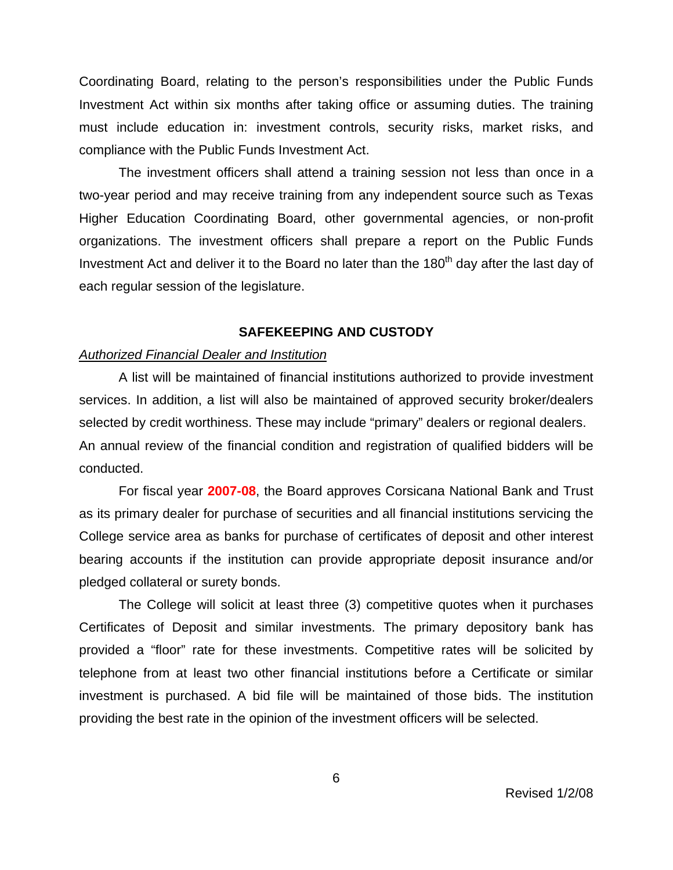Coordinating Board, relating to the person's responsibilities under the Public Funds Investment Act within six months after taking office or assuming duties. The training must include education in: investment controls, security risks, market risks, and compliance with the Public Funds Investment Act.

The investment officers shall attend a training session not less than once in a two-year period and may receive training from any independent source such as Texas Higher Education Coordinating Board, other governmental agencies, or non-profit organizations. The investment officers shall prepare a report on the Public Funds Investment Act and deliver it to the Board no later than the 180<sup>th</sup> day after the last day of each regular session of the legislature.

#### **SAFEKEEPING AND CUSTODY**

#### *Authorized Financial Dealer and Institution*

A list will be maintained of financial institutions authorized to provide investment services. In addition, a list will also be maintained of approved security broker/dealers selected by credit worthiness. These may include "primary" dealers or regional dealers. An annual review of the financial condition and registration of qualified bidders will be conducted.

For fiscal year **2007-08**, the Board approves Corsicana National Bank and Trust as its primary dealer for purchase of securities and all financial institutions servicing the College service area as banks for purchase of certificates of deposit and other interest bearing accounts if the institution can provide appropriate deposit insurance and/or pledged collateral or surety bonds.

The College will solicit at least three (3) competitive quotes when it purchases Certificates of Deposit and similar investments. The primary depository bank has provided a "floor" rate for these investments. Competitive rates will be solicited by telephone from at least two other financial institutions before a Certificate or similar investment is purchased. A bid file will be maintained of those bids. The institution providing the best rate in the opinion of the investment officers will be selected.

6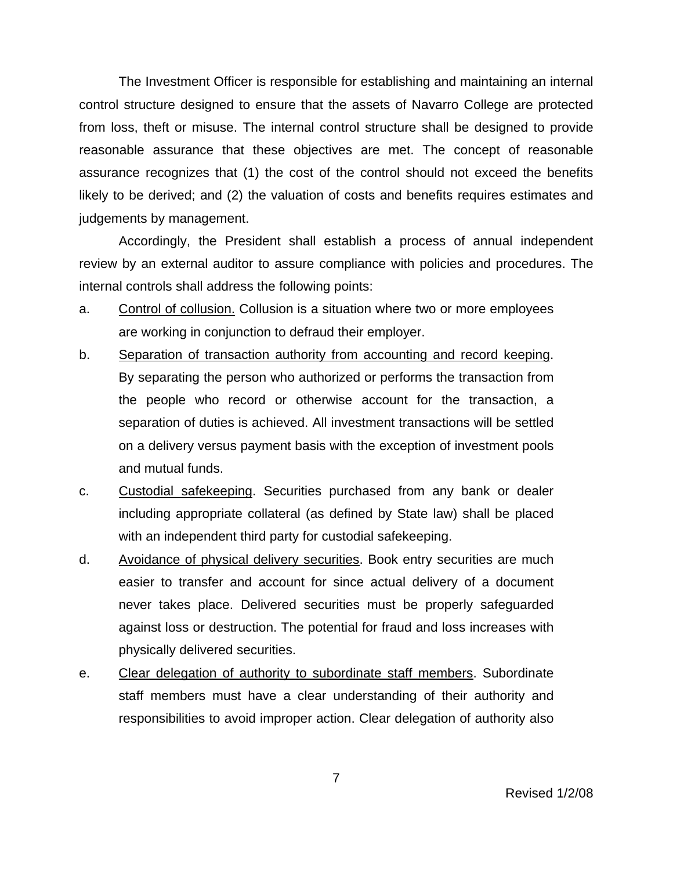The Investment Officer is responsible for establishing and maintaining an internal control structure designed to ensure that the assets of Navarro College are protected from loss, theft or misuse. The internal control structure shall be designed to provide reasonable assurance that these objectives are met. The concept of reasonable assurance recognizes that (1) the cost of the control should not exceed the benefits likely to be derived; and (2) the valuation of costs and benefits requires estimates and judgements by management.

Accordingly, the President shall establish a process of annual independent review by an external auditor to assure compliance with policies and procedures. The internal controls shall address the following points:

- a. Control of collusion. Collusion is a situation where two or more employees are working in conjunction to defraud their employer.
- b. Separation of transaction authority from accounting and record keeping. By separating the person who authorized or performs the transaction from the people who record or otherwise account for the transaction, a separation of duties is achieved. All investment transactions will be settled on a delivery versus payment basis with the exception of investment pools and mutual funds.
- c. Custodial safekeeping. Securities purchased from any bank or dealer including appropriate collateral (as defined by State law) shall be placed with an independent third party for custodial safekeeping.
- d. Avoidance of physical delivery securities. Book entry securities are much easier to transfer and account for since actual delivery of a document never takes place. Delivered securities must be properly safeguarded against loss or destruction. The potential for fraud and loss increases with physically delivered securities.
- e. Clear delegation of authority to subordinate staff members. Subordinate staff members must have a clear understanding of their authority and responsibilities to avoid improper action. Clear delegation of authority also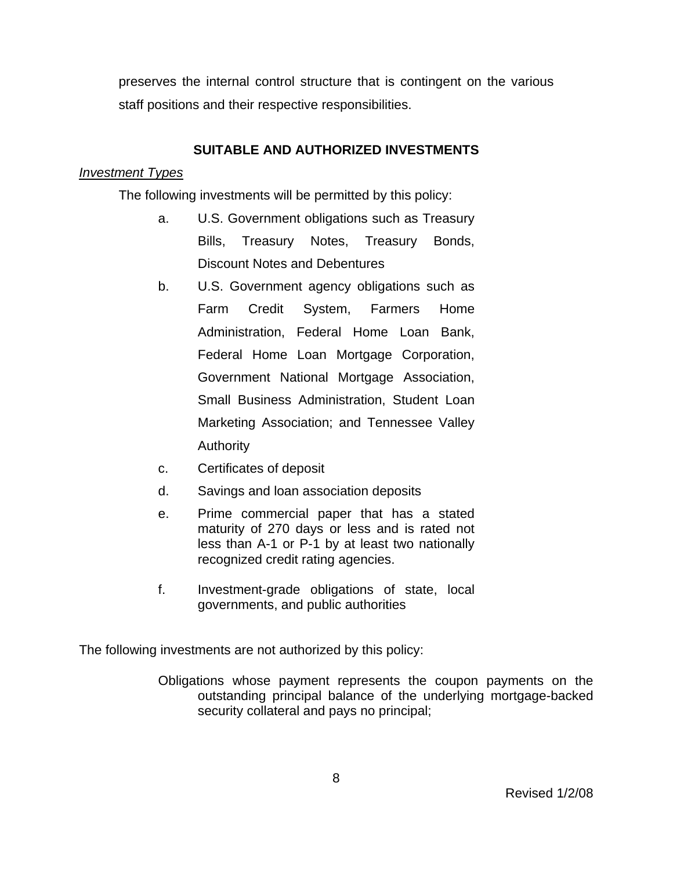preserves the internal control structure that is contingent on the various staff positions and their respective responsibilities.

## **SUITABLE AND AUTHORIZED INVESTMENTS**

## *Investment Types*

The following investments will be permitted by this policy:

- a. U.S. Government obligations such as Treasury Bills, Treasury Notes, Treasury Bonds, Discount Notes and Debentures
- b. U.S. Government agency obligations such as Farm Credit System, Farmers Home Administration, Federal Home Loan Bank, Federal Home Loan Mortgage Corporation, Government National Mortgage Association, Small Business Administration, Student Loan Marketing Association; and Tennessee Valley Authority
- c. Certificates of deposit
- d. Savings and loan association deposits
- e. Prime commercial paper that has a stated maturity of 270 days or less and is rated not less than A-1 or P-1 by at least two nationally recognized credit rating agencies.
- f. Investment-grade obligations of state, local governments, and public authorities

The following investments are not authorized by this policy:

Obligations whose payment represents the coupon payments on the outstanding principal balance of the underlying mortgage-backed security collateral and pays no principal;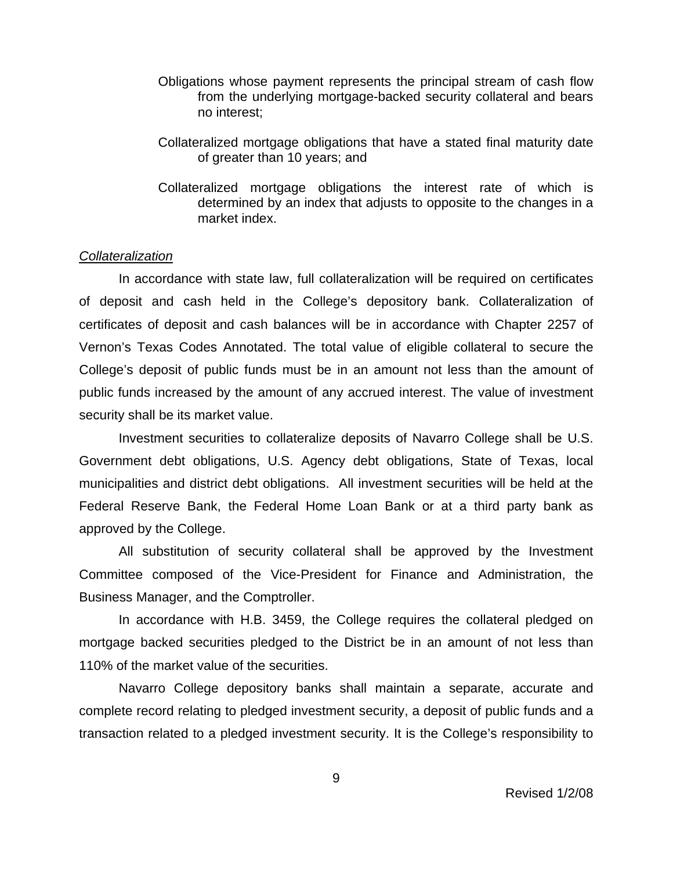- Obligations whose payment represents the principal stream of cash flow from the underlying mortgage-backed security collateral and bears no interest;
- Collateralized mortgage obligations that have a stated final maturity date of greater than 10 years; and
- Collateralized mortgage obligations the interest rate of which is determined by an index that adjusts to opposite to the changes in a market index.

## *Collateralization*

In accordance with state law, full collateralization will be required on certificates of deposit and cash held in the College's depository bank. Collateralization of certificates of deposit and cash balances will be in accordance with Chapter 2257 of Vernon's Texas Codes Annotated. The total value of eligible collateral to secure the College's deposit of public funds must be in an amount not less than the amount of public funds increased by the amount of any accrued interest. The value of investment security shall be its market value.

Investment securities to collateralize deposits of Navarro College shall be U.S. Government debt obligations, U.S. Agency debt obligations, State of Texas, local municipalities and district debt obligations. All investment securities will be held at the Federal Reserve Bank, the Federal Home Loan Bank or at a third party bank as approved by the College.

All substitution of security collateral shall be approved by the Investment Committee composed of the Vice-President for Finance and Administration, the Business Manager, and the Comptroller.

In accordance with H.B. 3459, the College requires the collateral pledged on mortgage backed securities pledged to the District be in an amount of not less than 110% of the market value of the securities.

Navarro College depository banks shall maintain a separate, accurate and complete record relating to pledged investment security, a deposit of public funds and a transaction related to a pledged investment security. It is the College's responsibility to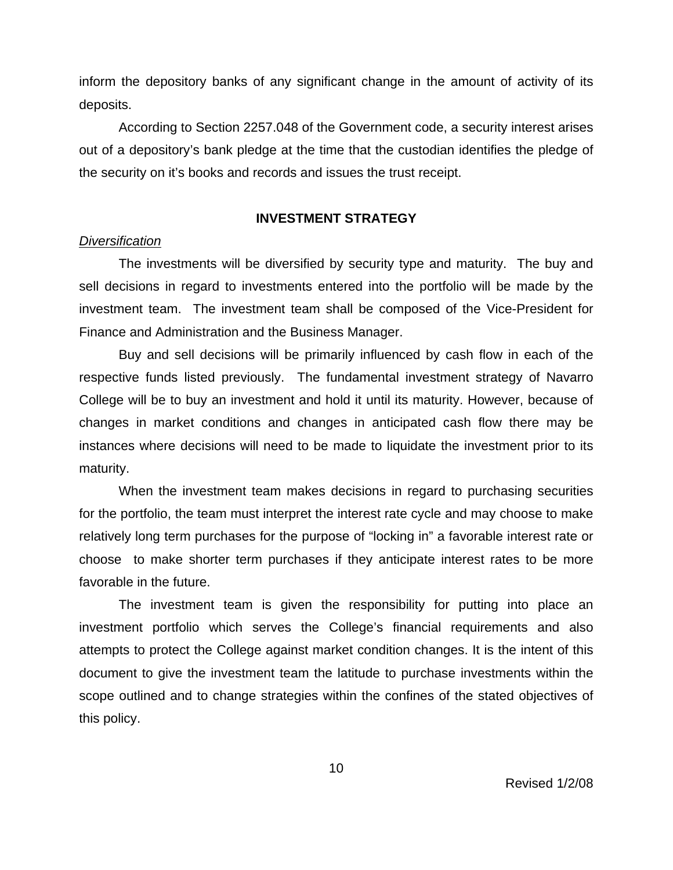inform the depository banks of any significant change in the amount of activity of its deposits.

According to Section 2257.048 of the Government code, a security interest arises out of a depository's bank pledge at the time that the custodian identifies the pledge of the security on it's books and records and issues the trust receipt.

## **INVESTMENT STRATEGY**

### *Diversification*

The investments will be diversified by security type and maturity. The buy and sell decisions in regard to investments entered into the portfolio will be made by the investment team. The investment team shall be composed of the Vice-President for Finance and Administration and the Business Manager.

Buy and sell decisions will be primarily influenced by cash flow in each of the respective funds listed previously. The fundamental investment strategy of Navarro College will be to buy an investment and hold it until its maturity. However, because of changes in market conditions and changes in anticipated cash flow there may be instances where decisions will need to be made to liquidate the investment prior to its maturity.

When the investment team makes decisions in regard to purchasing securities for the portfolio, the team must interpret the interest rate cycle and may choose to make relatively long term purchases for the purpose of "locking in" a favorable interest rate or choose to make shorter term purchases if they anticipate interest rates to be more favorable in the future.

The investment team is given the responsibility for putting into place an investment portfolio which serves the College's financial requirements and also attempts to protect the College against market condition changes. It is the intent of this document to give the investment team the latitude to purchase investments within the scope outlined and to change strategies within the confines of the stated objectives of this policy.

10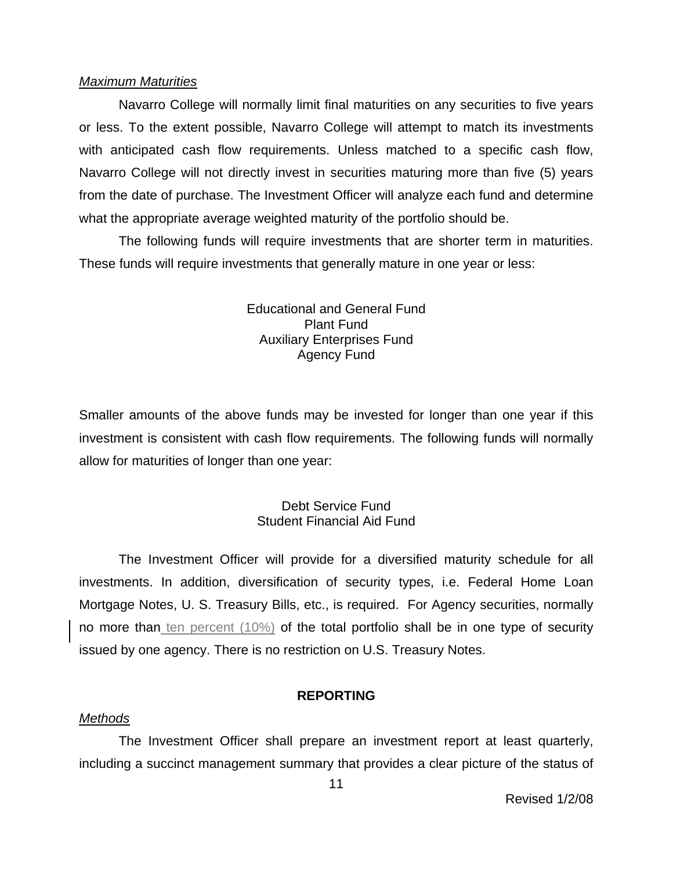### *Maximum Maturities*

Navarro College will normally limit final maturities on any securities to five years or less. To the extent possible, Navarro College will attempt to match its investments with anticipated cash flow requirements. Unless matched to a specific cash flow, Navarro College will not directly invest in securities maturing more than five (5) years from the date of purchase. The Investment Officer will analyze each fund and determine what the appropriate average weighted maturity of the portfolio should be.

The following funds will require investments that are shorter term in maturities. These funds will require investments that generally mature in one year or less:

> Educational and General Fund Plant Fund Auxiliary Enterprises Fund Agency Fund

Smaller amounts of the above funds may be invested for longer than one year if this investment is consistent with cash flow requirements. The following funds will normally allow for maturities of longer than one year:

## Debt Service Fund Student Financial Aid Fund

The Investment Officer will provide for a diversified maturity schedule for all investments. In addition, diversification of security types, i.e. Federal Home Loan Mortgage Notes, U. S. Treasury Bills, etc., is required. For Agency securities, normally no more than ten percent  $(10\%)$  of the total portfolio shall be in one type of security issued by one agency. There is no restriction on U.S. Treasury Notes.

## **REPORTING**

## *Methods*

The Investment Officer shall prepare an investment report at least quarterly, including a succinct management summary that provides a clear picture of the status of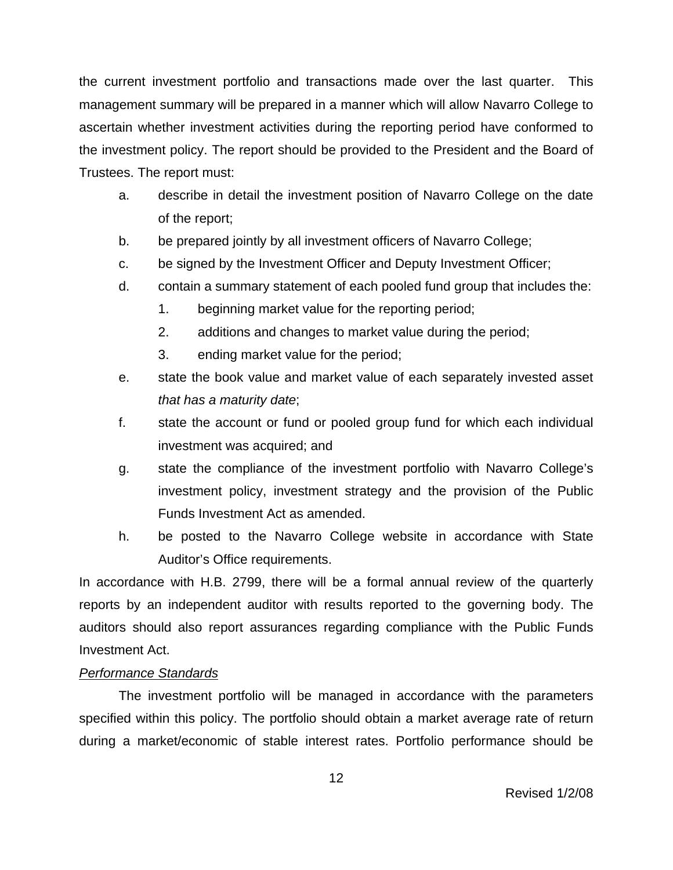the current investment portfolio and transactions made over the last quarter. This management summary will be prepared in a manner which will allow Navarro College to ascertain whether investment activities during the reporting period have conformed to the investment policy. The report should be provided to the President and the Board of Trustees. The report must:

- a. describe in detail the investment position of Navarro College on the date of the report;
- b. be prepared jointly by all investment officers of Navarro College;
- c. be signed by the Investment Officer and Deputy Investment Officer;
- d. contain a summary statement of each pooled fund group that includes the:
	- 1. beginning market value for the reporting period;
	- 2. additions and changes to market value during the period;
	- 3. ending market value for the period;
- e. state the book value and market value of each separately invested asset *that has a maturity date*;
- f. state the account or fund or pooled group fund for which each individual investment was acquired; and
- g. state the compliance of the investment portfolio with Navarro College's investment policy, investment strategy and the provision of the Public Funds Investment Act as amended.
- h. be posted to the Navarro College website in accordance with State Auditor's Office requirements.

In accordance with H.B. 2799, there will be a formal annual review of the quarterly reports by an independent auditor with results reported to the governing body. The auditors should also report assurances regarding compliance with the Public Funds Investment Act.

## *Performance Standards*

The investment portfolio will be managed in accordance with the parameters specified within this policy. The portfolio should obtain a market average rate of return during a market/economic of stable interest rates. Portfolio performance should be